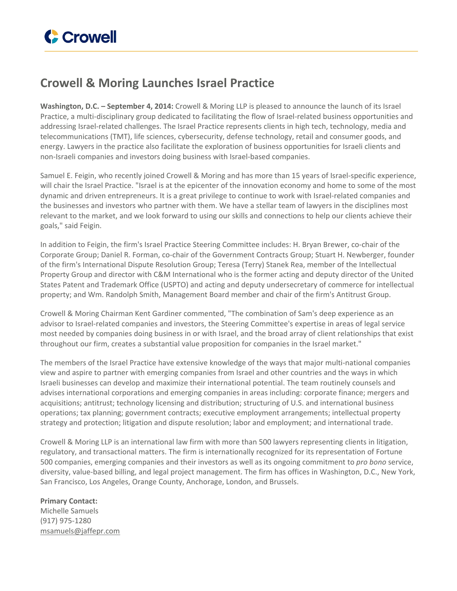

## **Crowell & Moring Launches Israel Practice**

**Washington, D.C. – September 4, 2014:** Crowell & Moring LLP is pleased to announce the launch of its Israel Practice, a multi-disciplinary group dedicated to facilitating the flow of Israel-related business opportunities and addressing Israel-related challenges. The Israel Practice represents clients in high tech, technology, media and telecommunications (TMT), life sciences, cybersecurity, defense technology, retail and consumer goods, and energy. Lawyers in the practice also facilitate the exploration of business opportunities for Israeli clients and non-Israeli companies and investors doing business with Israel-based companies.

Samuel E. Feigin, who recently joined Crowell & Moring and has more than 15 years of Israel-specific experience, will chair the Israel Practice. "Israel is at the epicenter of the innovation economy and home to some of the most dynamic and driven entrepreneurs. It is a great privilege to continue to work with Israel-related companies and the businesses and investors who partner with them. We have a stellar team of lawyers in the disciplines most relevant to the market, and we look forward to using our skills and connections to help our clients achieve their goals," said Feigin.

In addition to Feigin, the firm's Israel Practice Steering Committee includes: H. Bryan Brewer, co-chair of the Corporate Group; Daniel R. Forman, co-chair of the Government Contracts Group; Stuart H. Newberger, founder of the firm's International Dispute Resolution Group; Teresa (Terry) Stanek Rea, member of the Intellectual Property Group and director with C&M International who is the former acting and deputy director of the United States Patent and Trademark Office (USPTO) and acting and deputy undersecretary of commerce for intellectual property; and Wm. Randolph Smith, Management Board member and chair of the firm's Antitrust Group.

Crowell & Moring Chairman Kent Gardiner commented, "The combination of Sam's deep experience as an advisor to Israel-related companies and investors, the Steering Committee's expertise in areas of legal service most needed by companies doing business in or with Israel, and the broad array of client relationships that exist throughout our firm, creates a substantial value proposition for companies in the Israel market."

The members of the Israel Practice have extensive knowledge of the ways that major multi-national companies view and aspire to partner with emerging companies from Israel and other countries and the ways in which Israeli businesses can develop and maximize their international potential. The team routinely counsels and advises international corporations and emerging companies in areas including: corporate finance; mergers and acquisitions; antitrust; technology licensing and distribution; structuring of U.S. and international business operations; tax planning; government contracts; executive employment arrangements; intellectual property strategy and protection; litigation and dispute resolution; labor and employment; and international trade.

Crowell & Moring LLP is an international law firm with more than 500 lawyers representing clients in litigation, regulatory, and transactional matters. The firm is internationally recognized for its representation of Fortune 500 companies, emerging companies and their investors as well as its ongoing commitment to *pro bono* service, diversity, value-based billing, and legal project management. The firm has offices in Washington, D.C., New York, San Francisco, Los Angeles, Orange County, Anchorage, London, and Brussels.

## **Primary Contact:**

Michelle Samuels (917) 975-1280 [msamuels@jaffepr.com](mailto:msamuels@jaffepr.com)